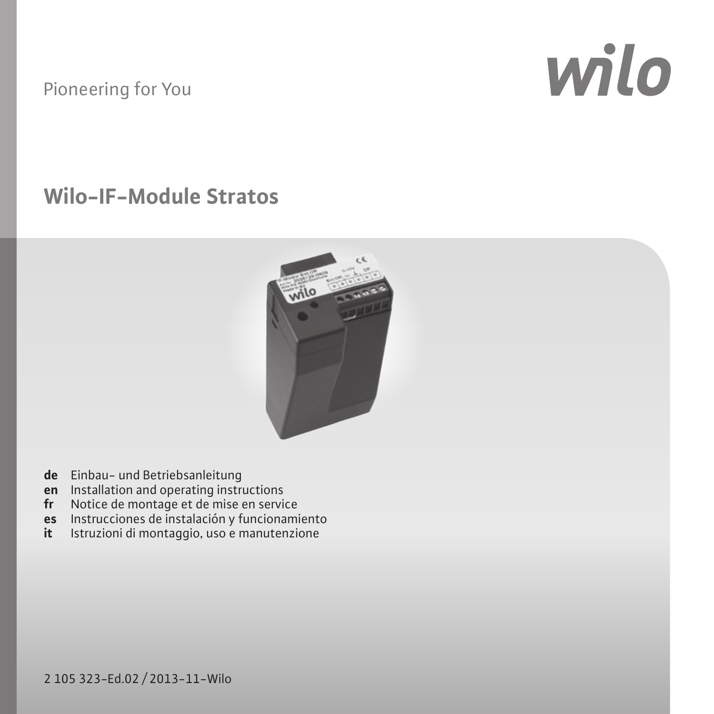### Pioneering for You

# wilo

# **Wilo-IF-Module Stratos**



- 
- 
- 
- **de** Einbau– und Betriebsanleitung<br>**en I**nstallation and operating instructions<br>**fr** Notice de montage et de mise en service<br>**es** Instrucciones de instalación y funcionamiento
- **it** Istruzioni di montaggio, uso e manutenzione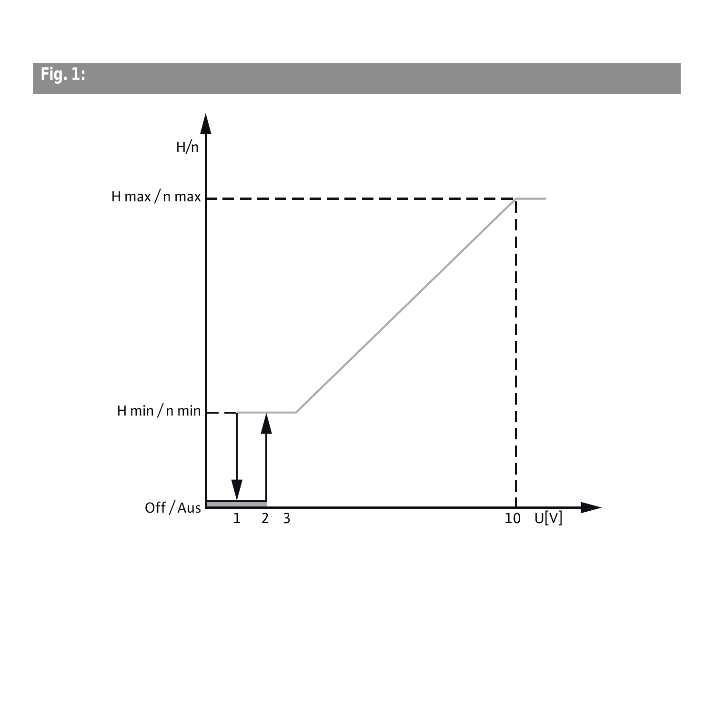**Fig. 1:** 

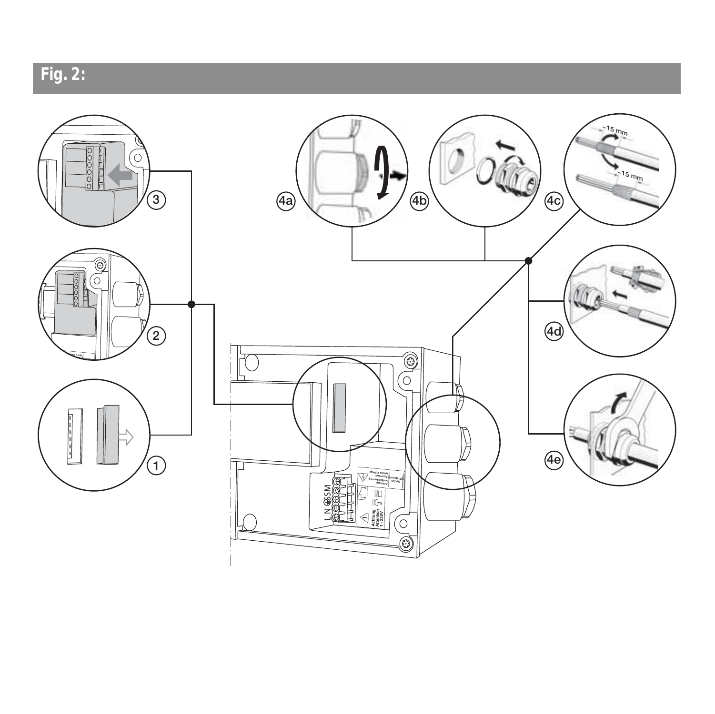

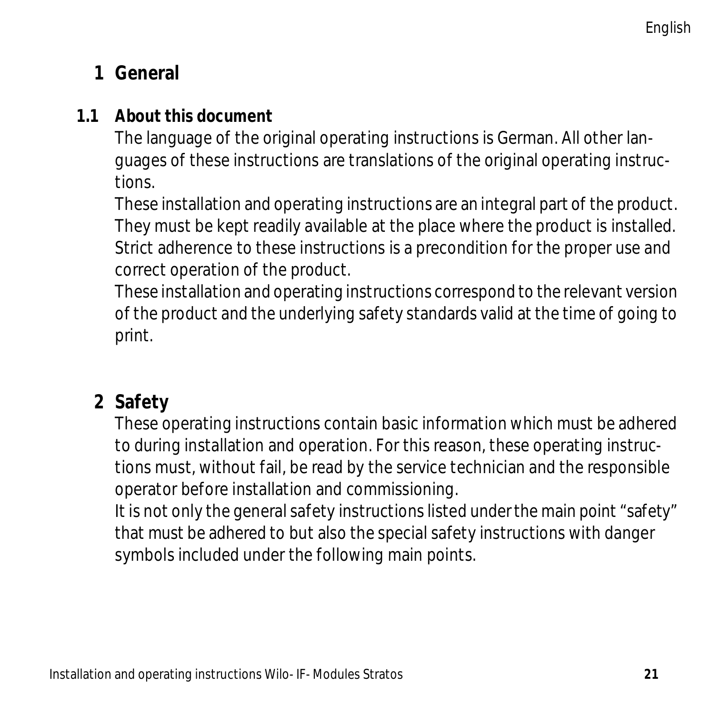# Installation and operating instructions **1 General**

### **1.1 About this document**

The language of the original operating instructions is German. All other languages of these instructions are translations of the original operating instructions.

These installation and operating instructions are an integral part of the product. They must be kept readily available at the place where the product is installed. Strict adherence to these instructions is a precondition for the proper use and correct operation of the product.

These installation and operating instructions correspond to the relevant version of the product and the underlying safety standards valid at the time of going to print.

### **2 Safety**

These operating instructions contain basic information which must be adhered to during installation and operation. For this reason, these operating instructions must, without fail, be read by the service technician and the responsible operator before installation and commissioning.

It is not only the general safety instructions listed under the main point "safety" that must be adhered to but also the special safety instructions with danger symbols included under the following main points.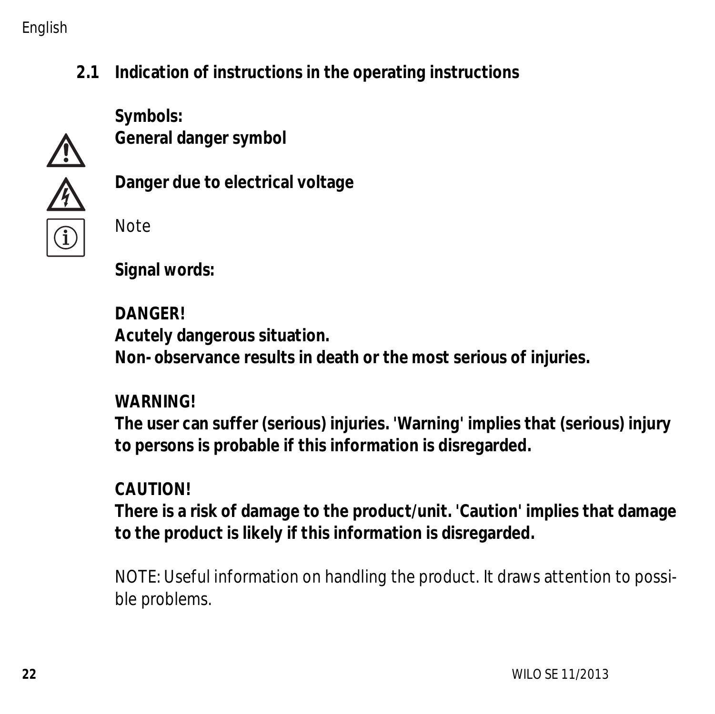#### English

**2.1 Indication of instructions in the operating instructions**

**Symbols: General danger symbol**



**Danger due to electrical voltage**

Note

**Signal words:**

**DANGER! Acutely dangerous situation. Non-observance results in death or the most serious of injuries.**

#### **WARNING!**

**The user can suffer (serious) injuries. 'Warning' implies that (serious) injury to persons is probable if this information is disregarded.**

### **CAUTION!**

**There is a risk of damage to the product/unit. 'Caution' implies that damage to the product is likely if this information is disregarded.**

NOTE: Useful information on handling the product. It draws attention to possible problems.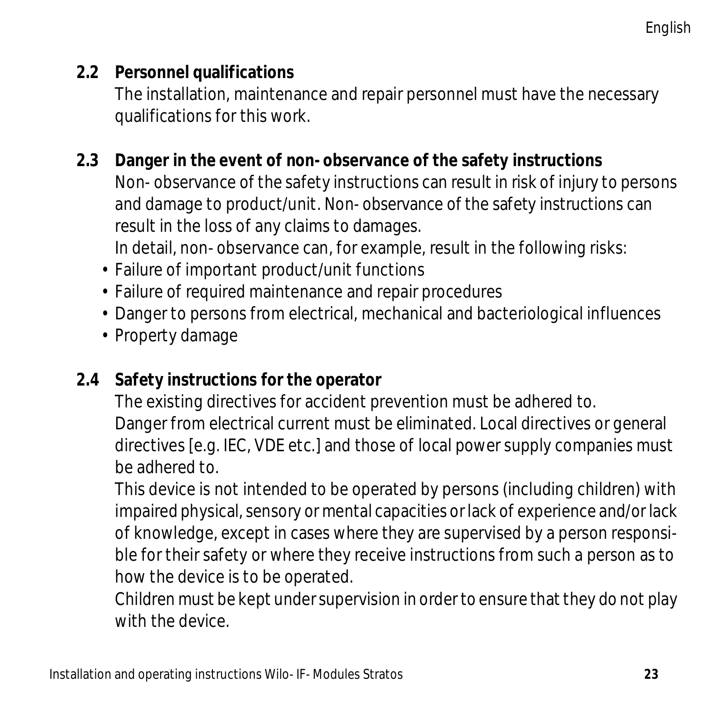### **2.2 Personnel qualifications**

The installation, maintenance and repair personnel must have the necessary qualifications for this work.

### **2.3 Danger in the event of non-observance of the safety instructions**

Non-observance of the safety instructions can result in risk of injury to persons and damage to product/unit. Non-observance of the safety instructions can result in the loss of any claims to damages.

In detail, non-observance can, for example, result in the following risks:

- Failure of important product/unit functions
- Failure of required maintenance and repair procedures
- Danger to persons from electrical, mechanical and bacteriological influences
- Property damage

### **2.4 Safety instructions for the operator**

The existing directives for accident prevention must be adhered to. Danger from electrical current must be eliminated. Local directives or general directives [e.g. IEC, VDE etc.] and those of local power supply companies must be adhered to.

This device is not intended to be operated by persons (including children) with impaired physical, sensory or mental capacities or lack of experience and/or lack of knowledge, except in cases where they are supervised by a person responsible for their safety or where they receive instructions from such a person as to how the device is to be operated.

Children must be kept under supervision in order to ensure that they do not play with the device.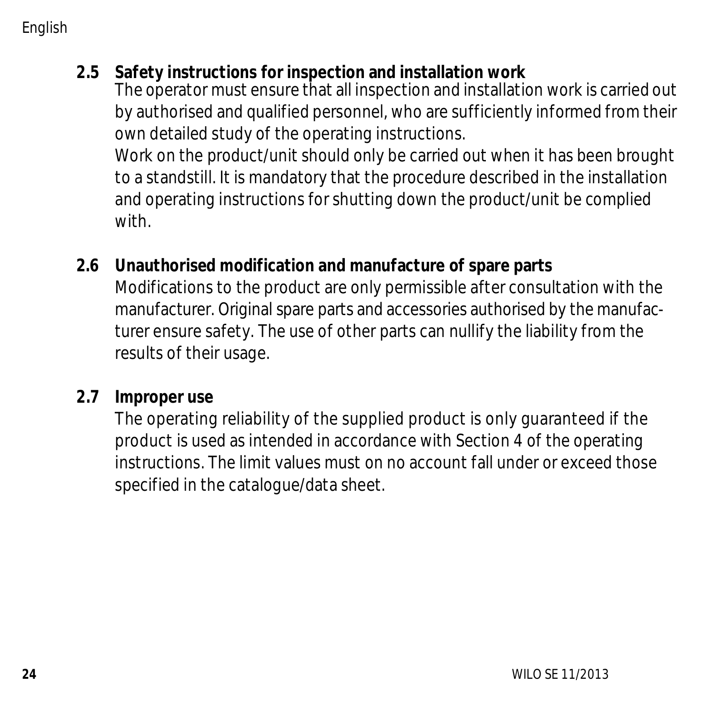English

#### **2.5 Safety instructions for inspection and installation work**

The operator must ensure that all inspection and installation work is carried out by authorised and qualified personnel, who are sufficiently informed from their own detailed study of the operating instructions.

Work on the product/unit should only be carried out when it has been brought to a standstill. It is mandatory that the procedure described in the installation and operating instructions for shutting down the product/unit be complied with.

#### **2.6 Unauthorised modification and manufacture of spare parts**

Modifications to the product are only permissible after consultation with the manufacturer. Original spare parts and accessories authorised by the manufacturer ensure safety. The use of other parts can nullify the liability from the results of their usage.

#### **2.7 Improper use**

The operating reliability of the supplied product is only guaranteed if the product is used as intended in accordance with Section [4](#page-9-0) of the operating instructions. The limit values must on no account fall under or exceed those specified in the catalogue/data sheet.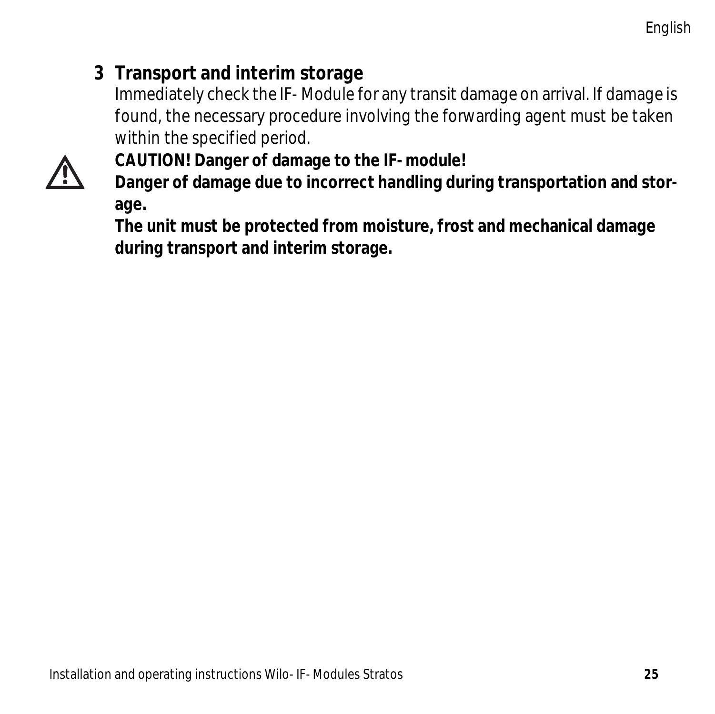# **3 Transport and interim storage**

Immediately check the IF-Module for any transit damage on arrival. If damage is found, the necessary procedure involving the forwarding agent must be taken within the specified period.



**CAUTION! Danger of damage to the IF-module!**

**Danger of damage due to incorrect handling during transportation and storage.**

**The unit must be protected from moisture, frost and mechanical damage during transport and interim storage.**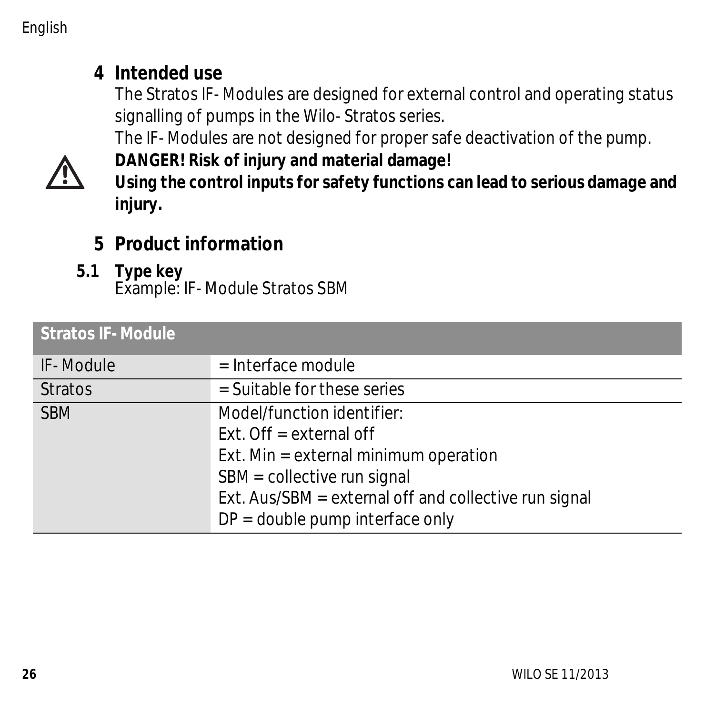### <span id="page-9-0"></span>**4 Intended use**

The Stratos IF-Modules are designed for external control and operating status signalling of pumps in the Wilo-Stratos series.

The IF-Modules are not designed for proper safe deactivation of the pump.



**DANGER! Risk of injury and material damage! Using the control inputs for safety functions can lead to serious damage and injury.**

## **5 Product information**

**5.1 Type key** Example: IF-Module Stratos SBM

| <b>Stratos IF-Module</b> |                                                                                                                                                                                                                             |
|--------------------------|-----------------------------------------------------------------------------------------------------------------------------------------------------------------------------------------------------------------------------|
| IF-Module                | $=$ Interface module                                                                                                                                                                                                        |
| <b>Stratos</b>           | $=$ Suitable for these series                                                                                                                                                                                               |
| <b>SBM</b>               | Model/function identifier:<br>Ext. Off = external off<br>Ext. Min = external minimum operation<br>SBM = collective run signal<br>Ext. Aus/SBM = external off and collective run signal<br>$DP = double pump interface only$ |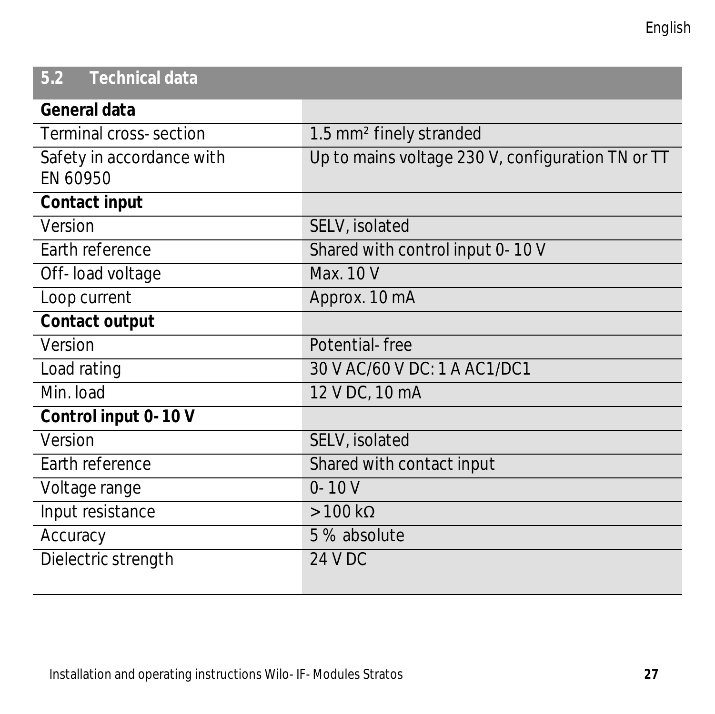# **5.2 Technical data**

| General data              |                                                   |
|---------------------------|---------------------------------------------------|
| Terminal cross-section    | 1.5 mm <sup>2</sup> finely stranded               |
| Safety in accordance with | Up to mains voltage 230 V, configuration TN or TT |
| EN 60950                  |                                                   |
| Contact input             |                                                   |
| Version                   | SELV, isolated                                    |
| Earth reference           | Shared with control input 0-10 V                  |
| Off-load voltage          | Max. 10 V                                         |
| Loop current              | Approx. 10 mA                                     |
| Contact output            |                                                   |
| Version                   | Potential-free                                    |
| Load rating               | 30 V AC/60 V DC: 1 A AC1/DC1                      |
| Min. load                 | 12 V DC, 10 mA                                    |
| Control input 0-10 V      |                                                   |
| Version                   | SELV, isolated                                    |
| Earth reference           | Shared with contact input                         |
| Voltage range             | $0 - 10V$                                         |
| Input resistance          | $>100 \text{ k}\Omega$                            |
| Accuracy                  | 5 % absolute                                      |
| Dielectric strength       | 24 V DC                                           |
|                           |                                                   |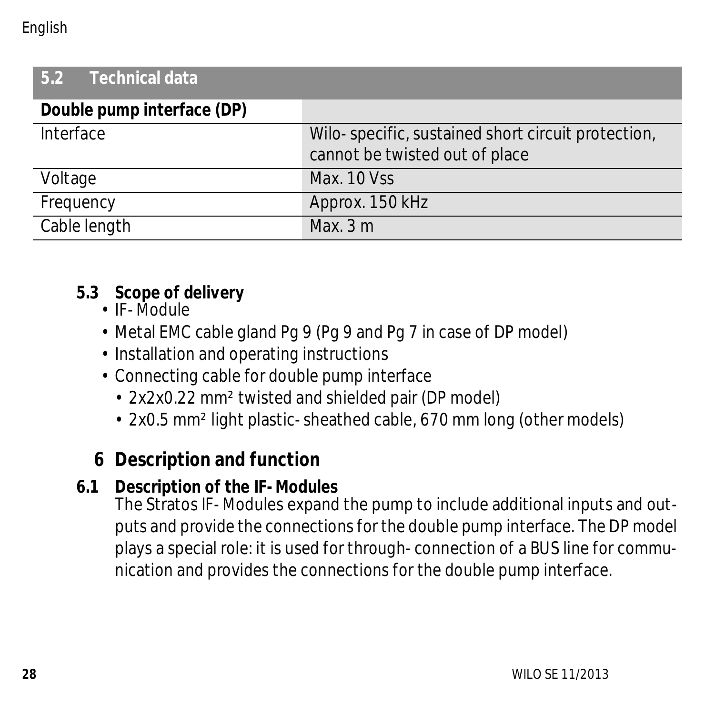#### English

| Technical data<br>5.2      |                                                                                      |  |  |
|----------------------------|--------------------------------------------------------------------------------------|--|--|
| Double pump interface (DP) |                                                                                      |  |  |
| Interface                  | Wilo-specific, sustained short circuit protection,<br>cannot be twisted out of place |  |  |
| Voltage                    | Max. 10 Vss                                                                          |  |  |
| Frequency                  | Approx. 150 kHz                                                                      |  |  |
| Cable length               | Max.3m                                                                               |  |  |

#### **5.3 Scope of delivery**

- IF-Module
- Metal EMC cable gland Pg 9 (Pg 9 and Pg 7 in case of DP model)
- Installation and operating instructions
- Connecting cable for double pump interface
	- 2x2x0.22 mm² twisted and shielded pair (DP model)
	- 2x0.5 mm² light plastic-sheathed cable, 670 mm long (other models)

# **6 Description and function**

### **6.1 Description of the IF-Modules**

The Stratos IF-Modules expand the pump to include additional inputs and outputs and provide the connections for the double pump interface. The DP model plays a special role: it is used for through-connection of a BUS line for communication and provides the connections for the double pump interface.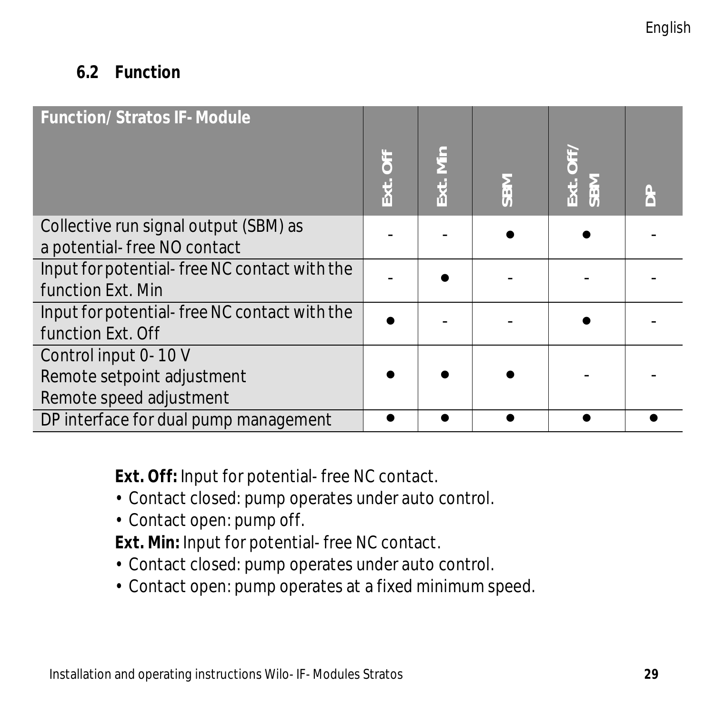### **6.2 Function**

| <b>Function/ Stratos IF-Module</b>                                            | Ext. Off | Ext. Min | <b>SBM</b> | Ext. Off/<br>SBM |  |
|-------------------------------------------------------------------------------|----------|----------|------------|------------------|--|
| Collective run signal output (SBM) as<br>a potential-free NO contact          |          |          |            |                  |  |
| Input for potential-free NC contact with the<br>function Ext. Min             |          |          |            |                  |  |
| Input for potential-free NC contact with the<br>function Ext. Off             |          |          |            |                  |  |
| Control input 0-10 V<br>Remote setpoint adjustment<br>Remote speed adjustment |          |          |            |                  |  |
| DP interface for dual pump management                                         |          |          |            |                  |  |

**Ext. Off:** Input for potential-free NC contact.

- Contact closed: pump operates under auto control.
- Contact open: pump off.

**Ext. Min:** Input for potential-free NC contact.

- Contact closed: pump operates under auto control.
- Contact open: pump operates at a fixed minimum speed.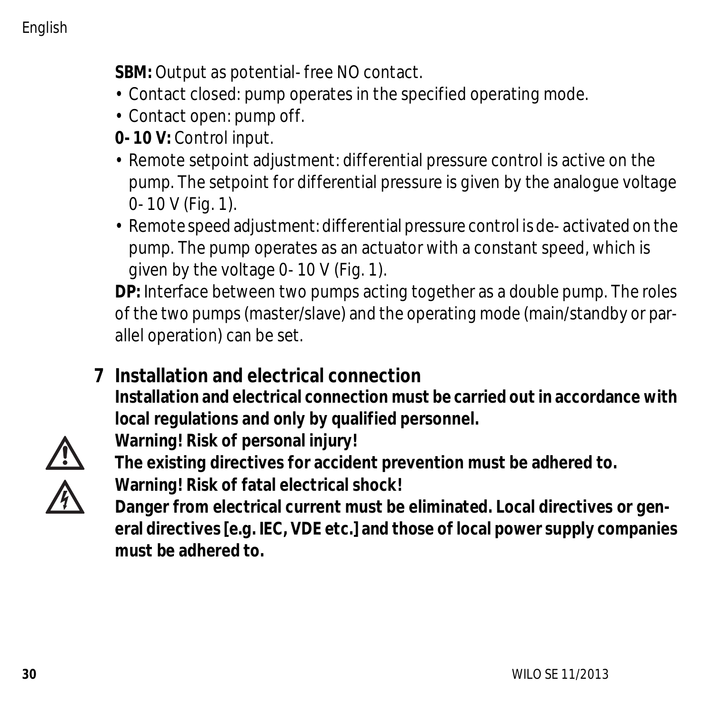**SBM:** Output as potential-free NO contact.

- Contact closed: pump operates in the specified operating mode.
- Contact open: pump off.
- **0-10 V:** Control input.
- Remote setpoint adjustment: differential pressure control is active on the pump. The setpoint for differential pressure is given by the analogue voltage 0-10 V (Fig. 1).
- Remote speed adjustment: differential pressure control is de-activated on the pump. The pump operates as an actuator with a constant speed, which is given by the voltage 0-10 V (Fig. 1).

**DP:** Interface between two pumps acting together as a double pump. The roles of the two pumps (master/slave) and the operating mode (main/standby or parallel operation) can be set.

**7 Installation and electrical connection Installation and electrical connection must be carried out in accordance with local regulations and only by qualified personnel.**

**Warning! Risk of personal injury!**



**The existing directives for accident prevention must be adhered to.**

**Warning! Risk of fatal electrical shock!**

**Danger from electrical current must be eliminated. Local directives or general directives [e.g. IEC, VDE etc.] and those of local power supply companies must be adhered to.**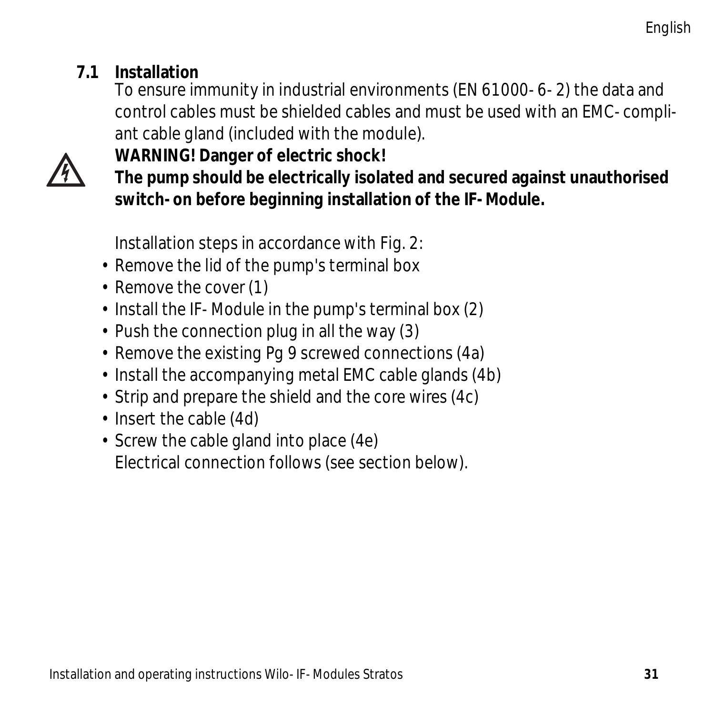### **7.1 Installation**

To ensure immunity in industrial environments (EN 61000-6-2) the data and control cables must be shielded cables and must be used with an EMC-compliant cable gland (included with the module).



**The pump should be electrically isolated and secured against unauthorised switch-on before beginning installation of the IF-Module.**

Installation steps in accordance with Fig. 2:

• Remove the lid of the pump's terminal box

**WARNING! Danger of electric shock!**

- Remove the cover (1)
- Install the IF-Module in the pump's terminal box (2)
- Push the connection plug in all the way (3)
- Remove the existing Pg 9 screwed connections (4a)
- Install the accompanying metal EMC cable glands (4b)
- Strip and prepare the shield and the core wires (4c)
- Insert the cable (4d)
- Screw the cable gland into place (4e) Electrical connection follows (see section below).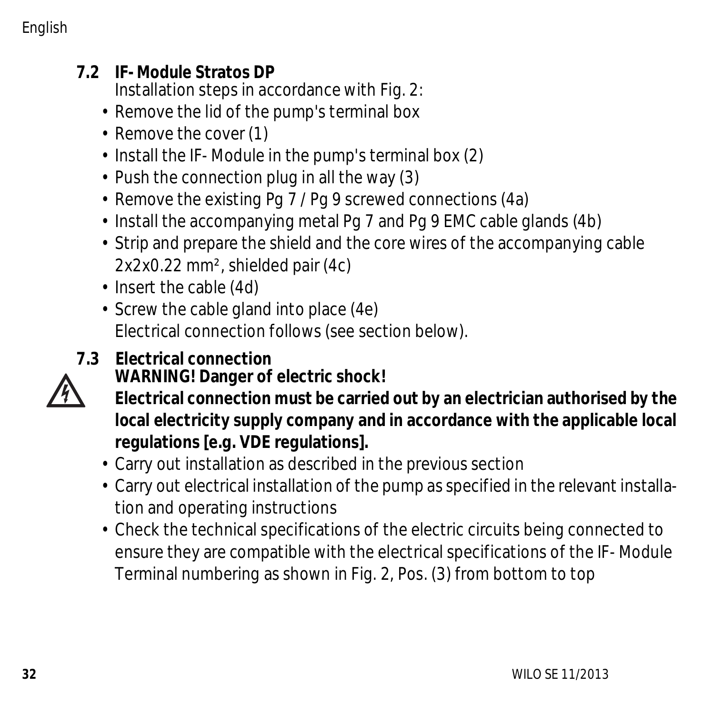### **7.2 IF-Module Stratos DP**

Installation steps in accordance with Fig. 2:

- Remove the lid of the pump's terminal box
- Remove the cover (1)
- Install the IF-Module in the pump's terminal box (2)
- Push the connection plug in all the way (3)
- Remove the existing Pg 7 / Pg 9 screwed connections (4a)
- Install the accompanying metal Pg 7 and Pg 9 EMC cable glands (4b)
- Strip and prepare the shield and the core wires of the accompanying cable 2x2x0.22 mm², shielded pair (4c)
- Insert the cable (4d)
- Screw the cable gland into place (4e) Electrical connection follows (see section below).
- **7.3 Electrical connection WARNING! Danger of electric shock!**
	- **Electrical connection must be carried out by an electrician authorised by the local electricity supply company and in accordance with the applicable local regulations [e.g. VDE regulations].**
	- Carry out installation as described in the previous section
	- Carry out electrical installation of the pump as specified in the relevant installation and operating instructions
	- Check the technical specifications of the electric circuits being connected to ensure they are compatible with the electrical specifications of the IF-Module Terminal numbering as shown in Fig. 2, Pos. (3) from bottom to top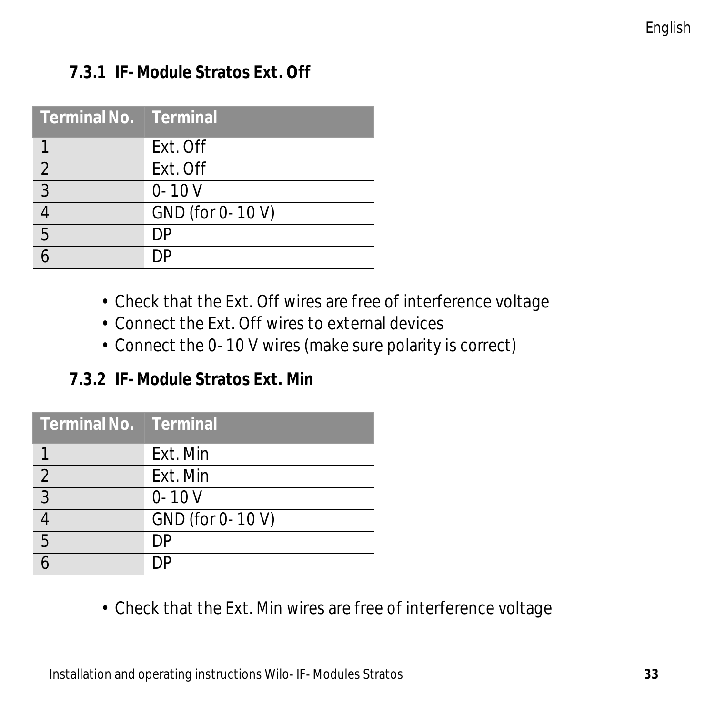#### **7.3.1 IF-Module Stratos Ext. Off**

| ' Terminal No.   Terminal |                  |
|---------------------------|------------------|
|                           | Ext. Off         |
| $\overline{2}$            | Ext. Off         |
| $\overline{3}$            | $0 - 10V$        |
|                           | GND (for 0-10 V) |
| 5                         | DÞ               |
|                           |                  |

- Check that the Ext. Off wires are free of interference voltage
- Connect the Ext. Off wires to external devices
- Connect the 0-10 V wires (make sure polarity is correct)

### **7.3.2 IF-Module Stratos Ext. Min**

| Terminal No. Terminal |                  |
|-----------------------|------------------|
|                       | Fxt. Min         |
| $\overline{2}$        | Fxt. Min         |
| $\frac{1}{3}$         | $0 - 10V$        |
|                       | GND (for 0-10 V) |
| 5                     | DΡ               |
|                       |                  |

• Check that the Ext. Min wires are free of interference voltage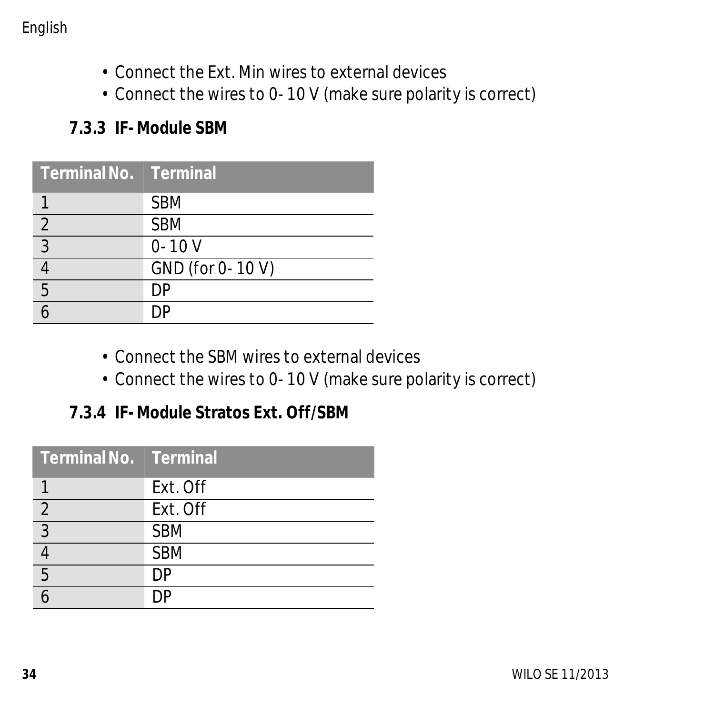English

- Connect the Ext. Min wires to external devices
- Connect the wires to 0-10 V (make sure polarity is correct)

#### **7.3.3 IF-Module SBM**

| Terminal No.   Terminal |                  |
|-------------------------|------------------|
|                         | <b>SBM</b>       |
| $\overline{2}$          | <b>SBM</b>       |
| $\overline{3}$          | $0 - 10V$        |
|                         | GND (for 0-10 V) |
| 5                       | DΡ               |
|                         |                  |

- Connect the SBM wires to external devices
- Connect the wires to 0-10 V (make sure polarity is correct)

#### **7.3.4 IF-Module Stratos Ext. Off/SBM**

| Terminal No. Terminal |            |
|-----------------------|------------|
|                       | Ext. Off   |
| $\overline{2}$        | Ext. Off   |
| $\overline{3}$        | <b>SBM</b> |
|                       | <b>SBM</b> |
| 5                     | DΡ         |
|                       |            |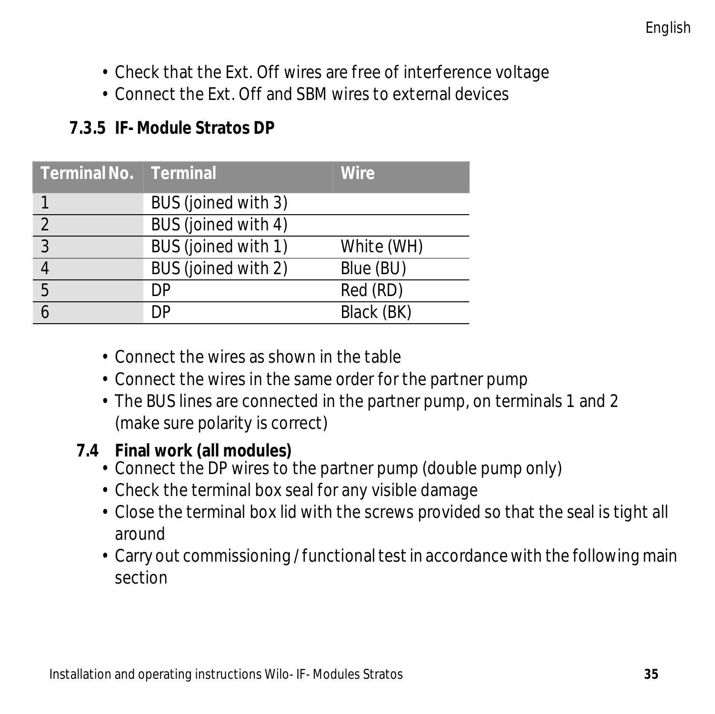- Check that the Ext. Off wires are free of interference voltage
- Connect the Ext. Off and SBM wires to external devices

### **7.3.5 IF-Module Stratos DP**

| Terminal No.   Terminal |                     | Wire       |
|-------------------------|---------------------|------------|
|                         | BUS (joined with 3) |            |
| $\mathcal{D}$           | BUS (joined with 4) |            |
| 3                       | BUS (joined with 1) | White (WH) |
|                         | BUS (joined with 2) | Blue (BU)  |
| 5                       | DΡ                  | Red (RD)   |
|                         | DΡ                  | Black (BK) |

- Connect the wires as shown in the table
- Connect the wires in the same order for the partner pump
- The BUS lines are connected in the partner pump, on terminals 1 and 2 (make sure polarity is correct)

### **7.4 Final work (all modules)**

- Connect the DP wires to the partner pump (double pump only)
- Check the terminal box seal for any visible damage
- Close the terminal box lid with the screws provided so that the seal is tight all around
- Carry out commissioning / functional test in accordance with the following main section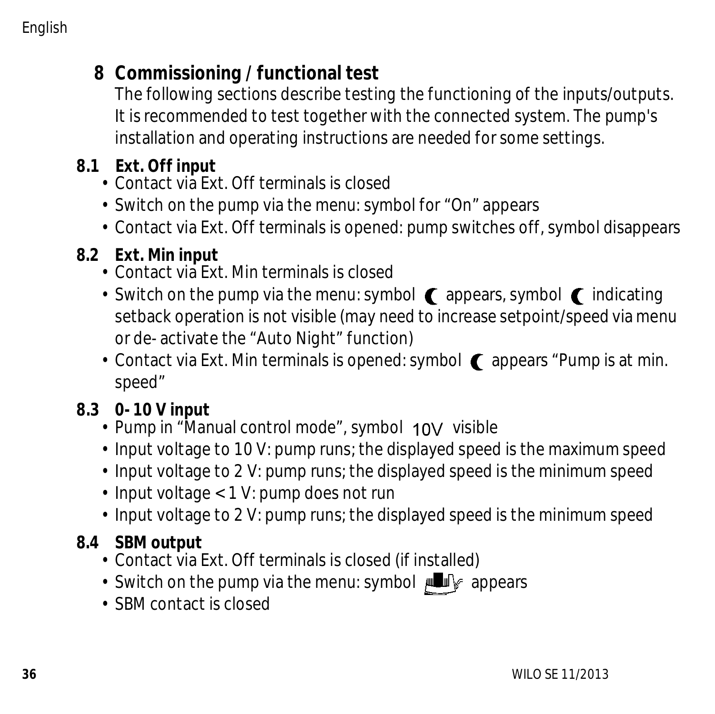## **8 Commissioning / functional test**

The following sections describe testing the functioning of the inputs/outputs. It is recommended to test together with the connected system. The pump's installation and operating instructions are needed for some settings.

### **8.1 Ext. Off input**

- Contact via Ext. Off terminals is closed
- Switch on the pump via the menu: symbol for "On" appears
- Contact via Ext. Off terminals is opened: pump switches off, symbol disappears

### **8.2 Ext. Min input**

- Contact via Ext. Min terminals is closed
- Switch on the pump via the menu: symbol  $\epsilon$  appears, symbol  $\epsilon$  indicating setback operation is not visible (may need to increase setpoint/speed via menu or de-activate the "Auto Night" function)
- Contact via Ext. Min terminals is opened: symbol  $\bigcap$  appears "Pump is at min. speed"

### **8.3 0-10 V input**

- $\cdot$  Pump in "Manual control mode", symbol  $10V$  visible
- Input voltage to 10 V: pump runs; the displayed speed is the maximum speed
- Input voltage to 2 V: pump runs; the displayed speed is the minimum speed
- Input voltage < 1 V: pump does not run
- Input voltage to 2 V: pump runs; the displayed speed is the minimum speed

### **8.4 SBM output**

- Contact via Ext. Off terminals is closed (if installed)
- Switch on the pump via the menu: symbol  $\mathbb{L}$   $\mathbb{F}$  appears
- SBM contact is closed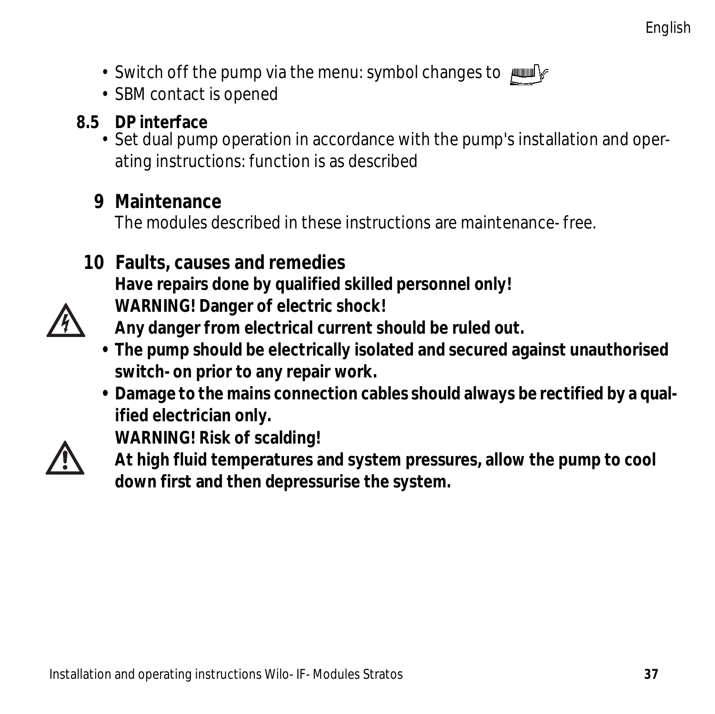- Switch off the pump via the menu: symbol changes to  $\text{min}$
- SBM contact is opened

### **8.5 DP interface**

• Set dual pump operation in accordance with the pump's installation and operating instructions: function is as described

### **9 Maintenance**

The modules described in these instructions are maintenance-free.

### **10 Faults, causes and remedies**

**WARNING! Risk of scalding!**

**WARNING! Danger of electric shock!**

**Have repairs done by qualified skilled personnel only!**



**Any danger from electrical current should be ruled out.**

- **The pump should be electrically isolated and secured against unauthorised switch-on prior to any repair work.**
- **Damage to the mains connection cables should always be rectified by a qualified electrician only.**



**At high fluid temperatures and system pressures, allow the pump to cool down first and then depressurise the system.**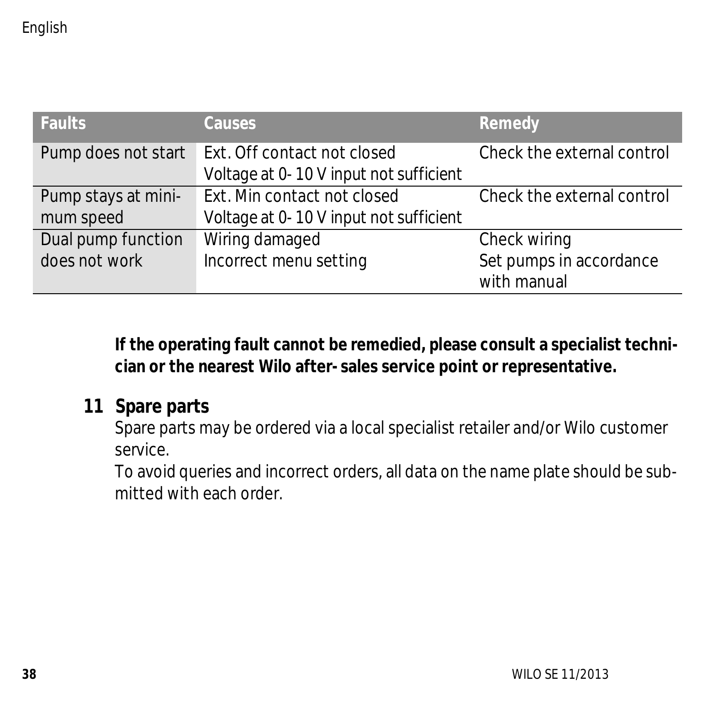| <b>Faults</b>       | <b>Causes</b>                          | Remedy                     |
|---------------------|----------------------------------------|----------------------------|
| Pump does not start | Ext. Off contact not closed            | Check the external control |
|                     | Voltage at 0-10 V input not sufficient |                            |
| Pump stays at mini- | Ext. Min contact not closed            | Check the external control |
| mum speed           | Voltage at 0-10 V input not sufficient |                            |
| Dual pump function  | Wiring damaged                         | Check wiring               |
| does not work       | Incorrect menu setting                 | Set pumps in accordance    |
|                     |                                        | with manual                |

**If the operating fault cannot be remedied, please consult a specialist technician or the nearest Wilo after-sales service point or representative.**

### **11 Spare parts**

Spare parts may be ordered via a local specialist retailer and/or Wilo customer service.

To avoid queries and incorrect orders, all data on the name plate should be submitted with each order.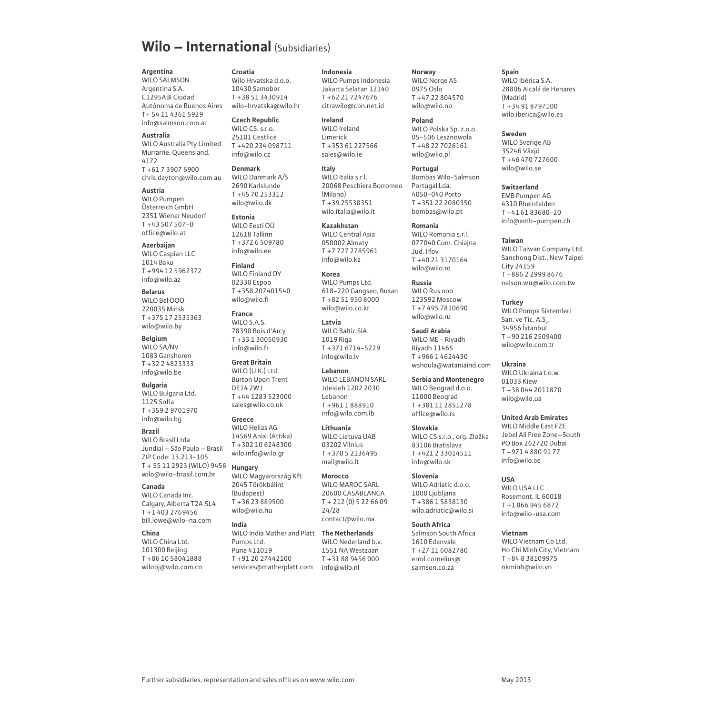#### **Wilo – International** (Subsidiaries)

**Argentina** WILO SALMSON Argentina S.A. Argentina S.A.<br>C1295ABI Ciudad Autónoma de Buenos Aires T+ 54 11 4261 5929

info@salmson.com.ar **Australia** WILO Australia Pty Limited

Murrarrie, Queensland 4172 T +61 7 3907 6900

#### chris.dayton@wilo.com.au **Austria** WILO Pumpen

Osterreich GmbH 2351 Wiener Neudorf T +43 507 507-0 office@wilo.at **Azerbaijan** 

WILO Caspian LLC 1014 Baku T +994 12 5962372 info@wilo.az

**Belarus** WILO Bel OOO 220035 Minsk T +375 17 2535363

#### wilo@wilo.by

**Belgium** WILO SA/NV 1083 Ganshoren T + 32 2 482 3333 info@wilo.he

#### **Bulgaria**

WILO Bulgaria Ltd. 1125 Sofia T +359 2 9701970 info@wilo.ho

#### **Brazil**  WILO Brasil Ltda

Jundiaí – São Paulo – Brasil ZIP Code: 13.213-105 T + 55 11 2923 (WILO) 9456 wilo@wilo-brasil.com.br

#### **Canada**

WILO Canada Inc. WILO Canada Inc.<br>Calgary, Alberta T2A 5L4  $T = 14032769456$ bill.lowe@wilo-na.com

**China** WILO China Ltd. 101300 Beijing T +86 10 58041888 wilobi@wilo.com.cn **Croatia** Wilo Hrvatska d.o.o. 10430 Samobor T +38 51 3430914 wilo-hrvatska@wilo.hr

**Czech Republic** WILO CS, s.r.o. 25101 Cestlice T +420 234 098711 info@wilo.cz

**Denmark** WILO Danmark A/S 2690 Karlslunde T +45 70 253312 wilo@wilo.dk **Estonia**

WILO Eesti OÜ 12618 Tallinn T +372 6 509780

#### info@wilo.ee **Finland**

WILO Finland OY 02230 Espoo T +358 207401540 wilo@wilo.fi **France** WILO S.A.S.

78390 Bois d'Arcy T +33 1 30050930 info@wilo.fr **Great Britain**

WILO (U.K.) Ltd. Burton Upon Trent DE14 2WJ T +44 1283 523000 sales@wilo.co.uk

WILO Hellas AG 14569 Anixi (Attika) T +302 10 6248300 wilo.info@wilo.ar

#### **Hungary** WILO Magyarország Kft 2045 Törökbálint (Budapest)  $T + 26.22899500$ wilo@wilo.hu

**Greece**

**India**

WILO MAROC SARL 20600 CASABLANCA  $T + 212(0)5226609$ 24/28

WILO India Mather and Platt The Netherlands Pumps Ltd. Pune 411019 T +91 20 27442100 services@matherplatt.com info@wilo.nl

**Indonesia** WILO Pumps Indonesia Jakarta Selatan 12140 T +62 21 7247676 citrawilo@cbn.net.id

**Ireland** WILO Ireland Limerick T +353 61 227566 sales@wilo.ie

**Italy**<br>WILO Italia c.cl WILO Italia s.r.l.<br>20068 Peschiera Borromeo (Milano) T +39 25538351 wilo.italia@wilo.it

**Kazakhstan** WILO Central Asia 050002 Almaty T +7 727 2785961  $inf_{\theta \in \mathbb{R}}$ 

**Korea** WILO Pumps Ltd. WILO Pumps Ltd.<br>618-220 Gangseo, Busan T +82 51 950 8000 wilo@wilo.co.kr

**Latvia** WILO Baltic SIA 1019 Riga T +371 6714-5229 info@wilo ly

**Lebanon** WILO LEBANON SARL Jdeideh 1202 2030 Lebanon T +961 1 888910 info@wilo.com lb

#### **Lithuania**

WILO Lietuva UAB 03202 Vilnius T +370 5 2136495 mail@wilo.lt

**Morocco** 

contact@wilo.ma

#### WILO Nederland b.v. 1551 NA Westzaan T +31 88 9456 000

**Norway** WILO Norge AS 0975 Oslo T +47 22 804570 wilo@wilo.no

**Poland** WILO Polska Sp. z.o.o. 05-506 Lesznowola T +48 22 7026161 wilo@wilo.pl

**Portugal** Bombas Wilo-Salmson Portugal Lda. 4050-040 Porto T +351 22 2080350 bombas@wilo.pt

#### **Romania** WILO Romania s.r.l. 077040 Com. Chiajna Jud. Ilfov T +40 21 3170164 wilo@wilo.ro

**Russia** WILO Rus ooo 123592 Moscow T +7 495 7810690 wilo@wilo.ru

**Saudi Arabia** WILO ME - Riyadh Riyadh 11465 T +966 1 4624430 wshoula@wataniaind.com

#### **Serbia and Montenegro**

WILO Beograd d.o.o. 11000 Beograd T +381 11 2851278 office@wilo.rs

#### **Slovakia** WILO CS s.r.o., org. Zložka 83106 Bratislava T +421 2 33014511 info@wilo.sk

**Slovenia**

WILO Adriatic d.o.o. 1000 Ljubljana T + 386 1 5838130 wilo.adriatic@wilo.si

#### **South Africa**

Salmson South Africa 1610 Edenvale T +27 11 6082780 errol.cornelius@ salmson.co.za

#### **Spain**

WILO Ibérica S.A. 28806 Alcalá de Henares (Madrid) T +34 91 8797100 wilo.iberica@wilo.es

**Sweden**<br>WILO Sverige AB 35246 Växjö T +46 470 727600 wilo@wilo se

#### **Switzerland**

EMB Pumpen AG 4310 Rheinfelden T +41 61 83680-20 info@emb-pumpen.ch

#### **Taiwan**

WILO Taiwan Company Ltd. Sanchong Dist., New Taipei City 24159 T +886 2 2999 8676 nelson.wu@wilo.com.tw

#### **Turkey**

WILO Pompa Sistemleri San. ve Tic. A.S.. 34956 Istanbul T +90 216 2509400 wilo@wilo.com.tr

#### **Ukraina**

WILO Ukraina t.o.w. 01033 Kiew T +38 044 2011870 wilo@wilo.ua

#### **United Arab Emirates**

WILO Middle East FZE Jebel Ali Free Zone–South PO Box 262720 Dubai T +971 4 880 91 77 info@wilo.ae

#### **USA**

WILO USA LLC Rosemont, IL 60018 T +1 866 945 6872 info@wilo-usa.com

#### **Vietnam**

WILO Vietnam Co Ltd. Ho Chi Minh City, Vietnam T +84 8 38109975 nkminh@wilo.vn